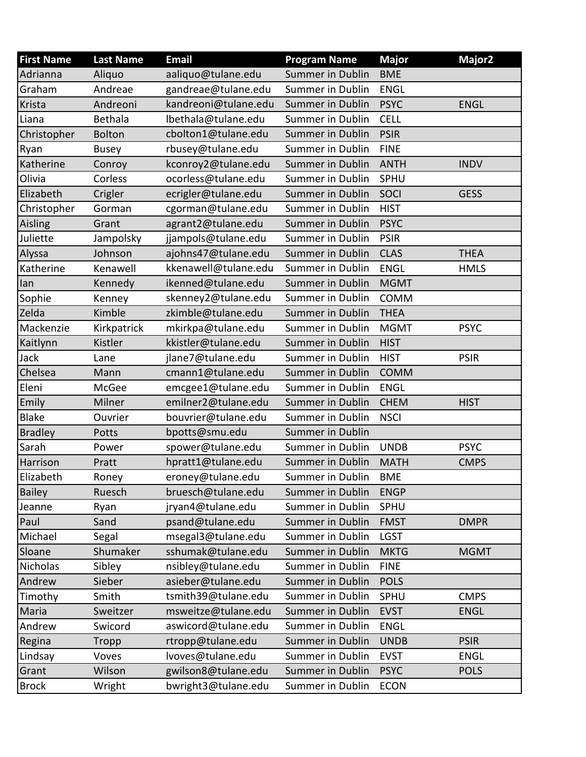| <b>First Name</b> | <b>Last Name</b> | <b>Email</b>         | <b>Program Name</b>     | <b>Major</b> | Major <sub>2</sub> |
|-------------------|------------------|----------------------|-------------------------|--------------|--------------------|
| Adrianna          | Aliquo           | aaliquo@tulane.edu   | <b>Summer in Dublin</b> | <b>BME</b>   |                    |
| Graham            | Andreae          | gandreae@tulane.edu  | <b>Summer in Dublin</b> | <b>ENGL</b>  |                    |
| Krista            | Andreoni         | kandreoni@tulane.edu | <b>Summer in Dublin</b> | <b>PSYC</b>  | <b>ENGL</b>        |
| Liana             | Bethala          | lbethala@tulane.edu  | <b>Summer in Dublin</b> | <b>CELL</b>  |                    |
| Christopher       | <b>Bolton</b>    | cbolton1@tulane.edu  | <b>Summer in Dublin</b> | <b>PSIR</b>  |                    |
| Ryan              | <b>Busey</b>     | rbusey@tulane.edu    | Summer in Dublin        | <b>FINE</b>  |                    |
| Katherine         | Conroy           | kconroy2@tulane.edu  | <b>Summer in Dublin</b> | <b>ANTH</b>  | <b>INDV</b>        |
| Olivia            | Corless          | ocorless@tulane.edu  | Summer in Dublin        | SPHU         |                    |
| Elizabeth         | Crigler          | ecrigler@tulane.edu  | Summer in Dublin        | <b>SOCI</b>  | <b>GESS</b>        |
| Christopher       | Gorman           | cgorman@tulane.edu   | Summer in Dublin        | <b>HIST</b>  |                    |
| Aisling           | Grant            | agrant2@tulane.edu   | Summer in Dublin        | <b>PSYC</b>  |                    |
| Juliette          | Jampolsky        | jjampols@tulane.edu  | <b>Summer in Dublin</b> | <b>PSIR</b>  |                    |
| Alyssa            | Johnson          | ajohns47@tulane.edu  | <b>Summer in Dublin</b> | <b>CLAS</b>  | <b>THEA</b>        |
| Katherine         | Kenawell         | kkenawell@tulane.edu | <b>Summer in Dublin</b> | <b>ENGL</b>  | <b>HMLS</b>        |
| lan               | Kennedy          | ikenned@tulane.edu   | <b>Summer in Dublin</b> | <b>MGMT</b>  |                    |
| Sophie            | Kenney           | skenney2@tulane.edu  | Summer in Dublin        | <b>COMM</b>  |                    |
| Zelda             | Kimble           | zkimble@tulane.edu   | Summer in Dublin        | <b>THEA</b>  |                    |
| Mackenzie         | Kirkpatrick      | mkirkpa@tulane.edu   | <b>Summer in Dublin</b> | <b>MGMT</b>  | <b>PSYC</b>        |
| Kaitlynn          | Kistler          | kkistler@tulane.edu  | <b>Summer in Dublin</b> | <b>HIST</b>  |                    |
| Jack              | Lane             | jlane7@tulane.edu    | <b>Summer in Dublin</b> | <b>HIST</b>  | <b>PSIR</b>        |
| Chelsea           | Mann             | cmann1@tulane.edu    | <b>Summer in Dublin</b> | <b>COMM</b>  |                    |
| Eleni             | McGee            | emcgee1@tulane.edu   | <b>Summer in Dublin</b> | <b>ENGL</b>  |                    |
| Emily             | Milner           | emilner2@tulane.edu  | <b>Summer in Dublin</b> | <b>CHEM</b>  | <b>HIST</b>        |
| <b>Blake</b>      | Ouvrier          | bouvrier@tulane.edu  | Summer in Dublin        | <b>NSCI</b>  |                    |
| <b>Bradley</b>    | Potts            | bpotts@smu.edu       | <b>Summer in Dublin</b> |              |                    |
| Sarah             | Power            | spower@tulane.edu    | <b>Summer in Dublin</b> | <b>UNDB</b>  | <b>PSYC</b>        |
| Harrison          | Pratt            | hpratt1@tulane.edu   | <b>Summer in Dublin</b> | <b>MATH</b>  | <b>CMPS</b>        |
| Elizabeth         | Roney            | eroney@tulane.edu    | Summer in Dublin        | BME          |                    |
| <b>Bailey</b>     | Ruesch           | bruesch@tulane.edu   | Summer in Dublin        | <b>ENGP</b>  |                    |
| Jeanne            | Ryan             | jryan4@tulane.edu    | <b>Summer in Dublin</b> | SPHU         |                    |
| Paul              | Sand             | psand@tulane.edu     | <b>Summer in Dublin</b> | <b>FMST</b>  | <b>DMPR</b>        |
| Michael           | Segal            | msegal3@tulane.edu   | <b>Summer in Dublin</b> | <b>LGST</b>  |                    |
| Sloane            | Shumaker         | sshumak@tulane.edu   | <b>Summer in Dublin</b> | <b>MKTG</b>  | <b>MGMT</b>        |
| Nicholas          | Sibley           | nsibley@tulane.edu   | Summer in Dublin        | <b>FINE</b>  |                    |
| Andrew            | Sieber           | asieber@tulane.edu   | <b>Summer in Dublin</b> | <b>POLS</b>  |                    |
| Timothy           | Smith            | tsmith39@tulane.edu  | <b>Summer in Dublin</b> | SPHU         | <b>CMPS</b>        |
| Maria             | Sweitzer         | msweitze@tulane.edu  | Summer in Dublin        | <b>EVST</b>  | <b>ENGL</b>        |
| Andrew            | Swicord          | aswicord@tulane.edu  | Summer in Dublin        | <b>ENGL</b>  |                    |
| Regina            | Tropp            | rtropp@tulane.edu    | <b>Summer in Dublin</b> | <b>UNDB</b>  | <b>PSIR</b>        |
| Lindsay           | Voves            | lvoves@tulane.edu    | Summer in Dublin        | <b>EVST</b>  | <b>ENGL</b>        |
| Grant             | Wilson           | gwilson8@tulane.edu  | Summer in Dublin        | <b>PSYC</b>  | <b>POLS</b>        |
| <b>Brock</b>      | Wright           | bwright3@tulane.edu  | Summer in Dublin        | <b>ECON</b>  |                    |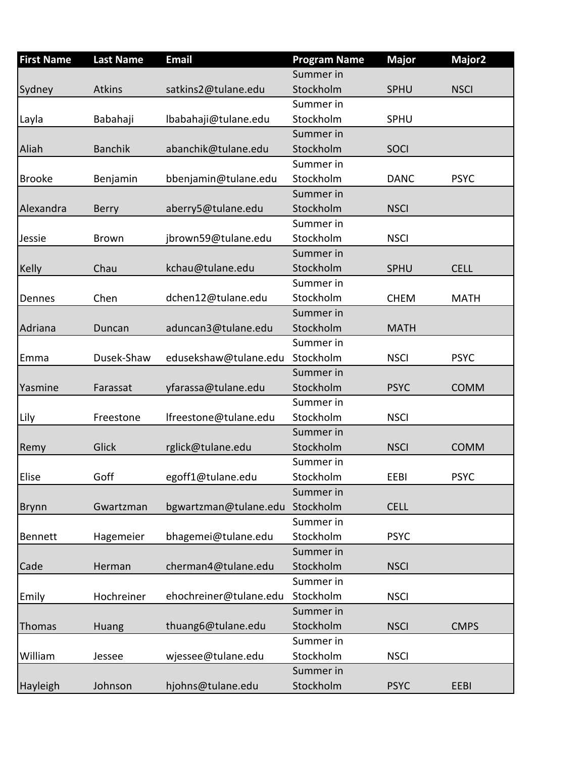| <b>First Name</b> | <b>Last Name</b> | <b>Email</b>           | <b>Program Name</b> | <b>Major</b> | Major <sub>2</sub> |
|-------------------|------------------|------------------------|---------------------|--------------|--------------------|
|                   |                  |                        | Summer in           |              |                    |
| Sydney            | <b>Atkins</b>    | satkins2@tulane.edu    | Stockholm           | <b>SPHU</b>  | <b>NSCI</b>        |
|                   |                  |                        | Summer in           |              |                    |
| Layla             | Babahaji         | Ibabahaji@tulane.edu   | Stockholm           | <b>SPHU</b>  |                    |
|                   |                  |                        | Summer in           |              |                    |
| Aliah             | <b>Banchik</b>   | abanchik@tulane.edu    | Stockholm           | <b>SOCI</b>  |                    |
|                   |                  |                        | Summer in           |              |                    |
| <b>Brooke</b>     | Benjamin         | bbenjamin@tulane.edu   | Stockholm           | <b>DANC</b>  | <b>PSYC</b>        |
|                   |                  |                        | Summer in           |              |                    |
| Alexandra         | <b>Berry</b>     | aberry5@tulane.edu     | Stockholm           | <b>NSCI</b>  |                    |
|                   |                  |                        | Summer in           |              |                    |
| Jessie            | <b>Brown</b>     | jbrown59@tulane.edu    | Stockholm           | <b>NSCI</b>  |                    |
|                   |                  |                        | Summer in           |              |                    |
| <b>Kelly</b>      | Chau             | kchau@tulane.edu       | Stockholm           | <b>SPHU</b>  | <b>CELL</b>        |
|                   |                  |                        | Summer in           |              |                    |
| Dennes            | Chen             | dchen12@tulane.edu     | Stockholm           | <b>CHEM</b>  | <b>MATH</b>        |
|                   |                  |                        | Summer in           |              |                    |
| Adriana           | Duncan           | aduncan3@tulane.edu    | Stockholm           | <b>MATH</b>  |                    |
|                   |                  |                        | Summer in           |              |                    |
| Emma              | Dusek-Shaw       | edusekshaw@tulane.edu  | Stockholm           | <b>NSCI</b>  | <b>PSYC</b>        |
|                   |                  |                        | Summer in           |              |                    |
| Yasmine           | Farassat         | yfarassa@tulane.edu    | Stockholm           | <b>PSYC</b>  | <b>COMM</b>        |
|                   |                  |                        | Summer in           |              |                    |
| Lily              | Freestone        | Ifreestone@tulane.edu  | Stockholm           | <b>NSCI</b>  |                    |
|                   |                  |                        | Summer in           |              |                    |
| Remy              | Glick            | rglick@tulane.edu      | Stockholm           | <b>NSCI</b>  | <b>COMM</b>        |
|                   |                  |                        | Summer in           |              |                    |
| Elise             | Goff             | egoff1@tulane.edu      | Stockholm           | EEBI         | <b>PSYC</b>        |
|                   |                  |                        | Summer in           |              |                    |
| <b>Brynn</b>      | Gwartzman        | bgwartzman@tulane.edu  | Stockholm           | <b>CELL</b>  |                    |
|                   |                  |                        | Summer in           |              |                    |
| Bennett           | Hagemeier        | bhagemei@tulane.edu    | Stockholm           | <b>PSYC</b>  |                    |
|                   |                  |                        | Summer in           |              |                    |
| Cade              | Herman           | cherman4@tulane.edu    | Stockholm           | <b>NSCI</b>  |                    |
|                   |                  |                        | Summer in           |              |                    |
| Emily             | Hochreiner       | ehochreiner@tulane.edu | Stockholm           | <b>NSCI</b>  |                    |
|                   |                  |                        | Summer in           |              |                    |
| Thomas            | Huang            | thuang6@tulane.edu     | Stockholm           | <b>NSCI</b>  | <b>CMPS</b>        |
|                   |                  |                        | Summer in           |              |                    |
| William           | Jessee           | wjessee@tulane.edu     | Stockholm           | <b>NSCI</b>  |                    |
|                   |                  |                        | Summer in           |              |                    |
| Hayleigh          | Johnson          | hjohns@tulane.edu      | Stockholm           | <b>PSYC</b>  | EEBI               |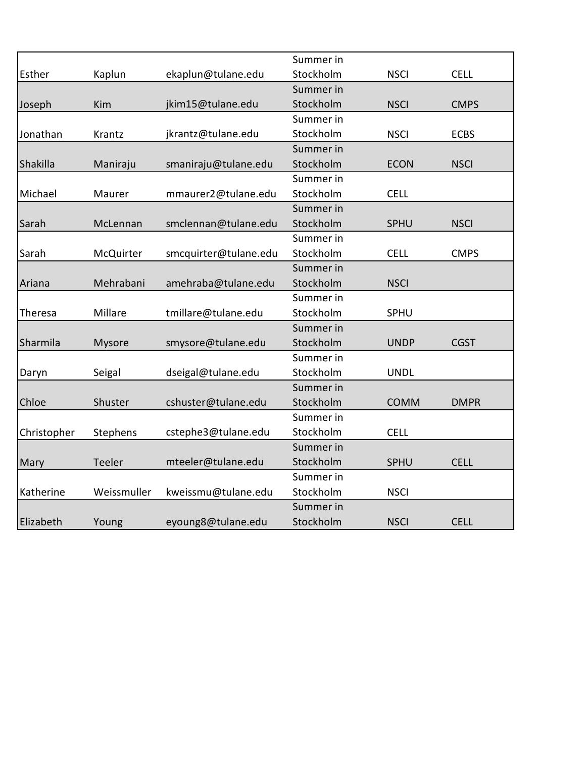|             |               |                       | Summer in |             |             |
|-------------|---------------|-----------------------|-----------|-------------|-------------|
| Esther      | Kaplun        | ekaplun@tulane.edu    | Stockholm | <b>NSCI</b> | <b>CELL</b> |
|             |               |                       | Summer in |             |             |
| Joseph      | Kim           | jkim15@tulane.edu     | Stockholm | <b>NSCI</b> | <b>CMPS</b> |
|             |               |                       | Summer in |             |             |
| Jonathan    | Krantz        | jkrantz@tulane.edu    | Stockholm | <b>NSCI</b> | <b>ECBS</b> |
|             |               |                       | Summer in |             |             |
| Shakilla    | Maniraju      | smaniraju@tulane.edu  | Stockholm | <b>ECON</b> | <b>NSCI</b> |
|             |               |                       | Summer in |             |             |
| Michael     | Maurer        | mmaurer2@tulane.edu   | Stockholm | <b>CELL</b> |             |
|             |               |                       | Summer in |             |             |
| Sarah       | McLennan      | smclennan@tulane.edu  | Stockholm | SPHU        | <b>NSCI</b> |
|             |               |                       | Summer in |             |             |
| Sarah       | McQuirter     | smcquirter@tulane.edu | Stockholm | <b>CELL</b> | <b>CMPS</b> |
|             |               |                       | Summer in |             |             |
| Ariana      | Mehrabani     | amehraba@tulane.edu   | Stockholm | <b>NSCI</b> |             |
|             |               |                       | Summer in |             |             |
| Theresa     | Millare       | tmillare@tulane.edu   | Stockholm | SPHU        |             |
|             |               |                       | Summer in |             |             |
| Sharmila    | <b>Mysore</b> | smysore@tulane.edu    | Stockholm | <b>UNDP</b> | <b>CGST</b> |
|             |               |                       | Summer in |             |             |
| Daryn       | Seigal        | dseigal@tulane.edu    | Stockholm | <b>UNDL</b> |             |
|             |               |                       | Summer in |             |             |
| Chloe       | Shuster       | cshuster@tulane.edu   | Stockholm | <b>COMM</b> | <b>DMPR</b> |
|             |               |                       | Summer in |             |             |
| Christopher | Stephens      | cstephe3@tulane.edu   | Stockholm | <b>CELL</b> |             |
|             |               |                       | Summer in |             |             |
| Mary        | Teeler        | mteeler@tulane.edu    | Stockholm | SPHU        | <b>CELL</b> |
|             |               |                       | Summer in |             |             |
| Katherine   | Weissmuller   | kweissmu@tulane.edu   | Stockholm | <b>NSCI</b> |             |
|             |               |                       | Summer in |             |             |
| Elizabeth   | Young         | eyoung8@tulane.edu    | Stockholm | <b>NSCI</b> | <b>CELL</b> |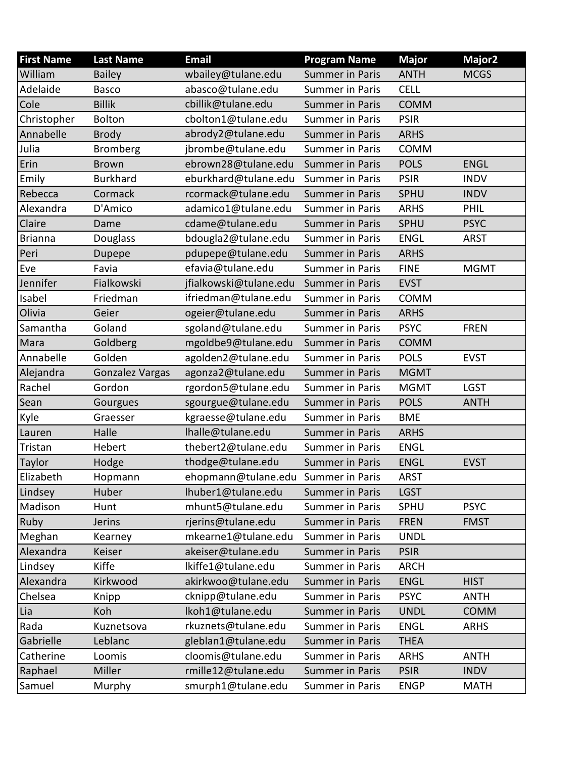| <b>First Name</b> | <b>Last Name</b>       | <b>Email</b>           | <b>Program Name</b>    | <b>Major</b> | Major <sub>2</sub> |
|-------------------|------------------------|------------------------|------------------------|--------------|--------------------|
| William           | <b>Bailey</b>          | wbailey@tulane.edu     | <b>Summer in Paris</b> | <b>ANTH</b>  | <b>MCGS</b>        |
| Adelaide          | <b>Basco</b>           | abasco@tulane.edu      | <b>Summer in Paris</b> | <b>CELL</b>  |                    |
| Cole              | <b>Billik</b>          | cbillik@tulane.edu     | <b>Summer in Paris</b> | <b>COMM</b>  |                    |
| Christopher       | <b>Bolton</b>          | cbolton1@tulane.edu    | <b>Summer in Paris</b> | <b>PSIR</b>  |                    |
| Annabelle         | <b>Brody</b>           | abrody2@tulane.edu     | <b>Summer in Paris</b> | <b>ARHS</b>  |                    |
| Julia             | <b>Bromberg</b>        | jbrombe@tulane.edu     | <b>Summer in Paris</b> | <b>COMM</b>  |                    |
| Erin              | <b>Brown</b>           | ebrown28@tulane.edu    | <b>Summer in Paris</b> | <b>POLS</b>  | <b>ENGL</b>        |
| Emily             | <b>Burkhard</b>        | eburkhard@tulane.edu   | <b>Summer in Paris</b> | <b>PSIR</b>  | <b>INDV</b>        |
| Rebecca           | Cormack                | rcormack@tulane.edu    | <b>Summer in Paris</b> | SPHU         | <b>INDV</b>        |
| Alexandra         | D'Amico                | adamico1@tulane.edu    | <b>Summer in Paris</b> | <b>ARHS</b>  | PHIL               |
| Claire            | Dame                   | cdame@tulane.edu       | <b>Summer in Paris</b> | <b>SPHU</b>  | <b>PSYC</b>        |
| <b>Brianna</b>    | Douglass               | bdougla2@tulane.edu    | <b>Summer in Paris</b> | <b>ENGL</b>  | <b>ARST</b>        |
| Peri              | Dupepe                 | pdupepe@tulane.edu     | <b>Summer in Paris</b> | <b>ARHS</b>  |                    |
| Eve               | Favia                  | efavia@tulane.edu      | <b>Summer in Paris</b> | <b>FINE</b>  | <b>MGMT</b>        |
| Jennifer          | Fialkowski             | jfialkowski@tulane.edu | <b>Summer in Paris</b> | <b>EVST</b>  |                    |
| Isabel            | Friedman               | ifriedman@tulane.edu   | <b>Summer in Paris</b> | <b>COMM</b>  |                    |
| Olivia            | Geier                  | ogeier@tulane.edu      | <b>Summer in Paris</b> | <b>ARHS</b>  |                    |
| Samantha          | Goland                 | sgoland@tulane.edu     | <b>Summer in Paris</b> | <b>PSYC</b>  | <b>FREN</b>        |
| Mara              | Goldberg               | mgoldbe9@tulane.edu    | Summer in Paris        | <b>COMM</b>  |                    |
| Annabelle         | Golden                 | agolden2@tulane.edu    | <b>Summer in Paris</b> | <b>POLS</b>  | <b>EVST</b>        |
| Alejandra         | <b>Gonzalez Vargas</b> | agonza2@tulane.edu     | <b>Summer in Paris</b> | <b>MGMT</b>  |                    |
| Rachel            | Gordon                 | rgordon5@tulane.edu    | <b>Summer in Paris</b> | <b>MGMT</b>  | <b>LGST</b>        |
| Sean              | Gourgues               | sgourgue@tulane.edu    | <b>Summer in Paris</b> | <b>POLS</b>  | <b>ANTH</b>        |
| Kyle              | Graesser               | kgraesse@tulane.edu    | <b>Summer in Paris</b> | <b>BME</b>   |                    |
| Lauren            | Halle                  | Ihalle@tulane.edu      | <b>Summer in Paris</b> | <b>ARHS</b>  |                    |
| Tristan           | Hebert                 | thebert2@tulane.edu    | <b>Summer in Paris</b> | <b>ENGL</b>  |                    |
| Taylor            | Hodge                  | thodge@tulane.edu      | <b>Summer in Paris</b> | <b>ENGL</b>  | <b>EVST</b>        |
| Elizabeth         | Hopmann                | ehopmann@tulane.edu    | Summer in Paris        | ARST         |                    |
| Lindsey           | Huber                  | lhuber1@tulane.edu     | <b>Summer in Paris</b> | <b>LGST</b>  |                    |
| Madison           | Hunt                   | mhunt5@tulane.edu      | <b>Summer in Paris</b> | SPHU         | <b>PSYC</b>        |
| Ruby              | <b>Jerins</b>          | rjerins@tulane.edu     | <b>Summer in Paris</b> | <b>FREN</b>  | <b>FMST</b>        |
| Meghan            | Kearney                | mkearne1@tulane.edu    | <b>Summer in Paris</b> | <b>UNDL</b>  |                    |
| Alexandra         | Keiser                 | akeiser@tulane.edu     | <b>Summer in Paris</b> | <b>PSIR</b>  |                    |
| Lindsey           | Kiffe                  | lkiffe1@tulane.edu     | <b>Summer in Paris</b> | <b>ARCH</b>  |                    |
| Alexandra         | Kirkwood               | akirkwoo@tulane.edu    | <b>Summer in Paris</b> | <b>ENGL</b>  | <b>HIST</b>        |
| Chelsea           | Knipp                  | cknipp@tulane.edu      | <b>Summer in Paris</b> | <b>PSYC</b>  | <b>ANTH</b>        |
| Lia               | Koh                    | lkoh1@tulane.edu       | <b>Summer in Paris</b> | <b>UNDL</b>  | <b>COMM</b>        |
| Rada              | Kuznetsova             | rkuznets@tulane.edu    | <b>Summer in Paris</b> | <b>ENGL</b>  | <b>ARHS</b>        |
| Gabrielle         | Leblanc                | gleblan1@tulane.edu    | <b>Summer in Paris</b> | <b>THEA</b>  |                    |
| Catherine         | Loomis                 | cloomis@tulane.edu     | <b>Summer in Paris</b> | <b>ARHS</b>  | <b>ANTH</b>        |
| Raphael           | Miller                 | rmille12@tulane.edu    | <b>Summer in Paris</b> | <b>PSIR</b>  | <b>INDV</b>        |
| Samuel            | Murphy                 | smurph1@tulane.edu     | <b>Summer in Paris</b> | <b>ENGP</b>  | <b>MATH</b>        |